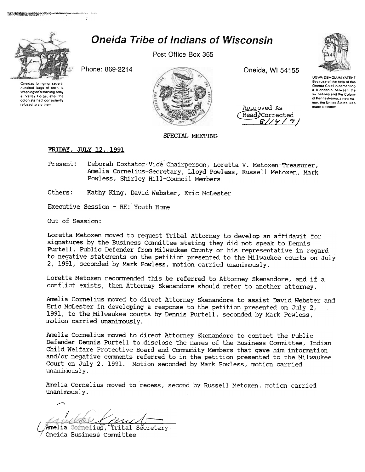

**Oneida Tribe of Indians of Wisconsin** 

Post Office Box 365



**UGWA DEMOLUM YATEHE** Because of the help of this

Oneida Chief in cementino

a friendship between the

six nations and the Colony

Phone: 869-2214

Oneidas bringing several hundred bags of corn to Washington's starving army at Valley Forge, after the colonists had consistently refused to aid them

Oneida, WI 54155

Approved As Read/Corrected  $8$ // $4$ /

of Pennsylvania a new nation, the United States, was made possible

## **FRIDAY, JULY 12, 1991**

Deborah Doxtator-Vice Chairperson, Loretta V. Metoxen-Treasurer, Present: Amelia Cornelius-Secretary, Lloyd Powless, Russell Metoxen, Mark Powless, Shirley Hill-Council Members

SPECIAL MEETING

Others: Kathy King, David Webster, Eric McLester

Executive Session - RE: Youth Home

Out of Session:

Loretta Metoxen moved to request Tribal Attorney to develop an affidavit for signatures by the Business Committee stating they did not speak to Dennis Purtell, Public Defender from Milwaukee County or his representative in regard to negative statements on the petition presented to the Milwaukee courts on July 2, 1991, seconded by Mark Powless, motion carried unanimously.

Loretta Metoxen recommended this be referred to Attorney Skenandore, and if a conflict exists, then Attorney Skenandore should refer to another attorney.

Amelia Cornelius moved to direct Attorney Skenandore to assist David Webster and Eric McLester in developing a response to the petition presented on July 2, 1991, to the Milwaukee courts by Dennis Purtell, seconded by Mark Powless, motion carried unanimously.

Amelia Cornelius moved to direct Attorney Skenandore to contact the Public Defender Dennis Purtell to disclose the names of the Business Committee, Indian Child Welfare Protective Board and Community Members that gave him information and/or negative comments referred to in the petition presented to the Milwaukee Court on July 2, 1991. Motion seconded by Mark Powless, motion carried unanimously.

Amelia Cornelius moved to recess, second by Russell Metoxen, motion carried unanimously.

Amelia Cornelius, Tribal Secretary Oneida Business Committee